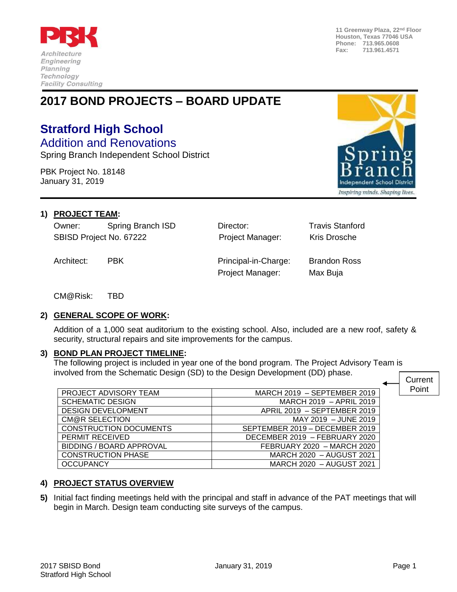

**11 Greenway Plaza, 22nd Floor Houston, Texas 77046 USA Phone: 713.965.0608 Fax: 713.961.4571**

# **2017 BOND PROJECTS – BOARD UPDATE**

# **Stratford High School**

Addition and Renovations Spring Branch Independent School District

PBK Project No. 18148 January 31, 2019



#### **1) PROJECT TEAM:**

Owner: Spring Branch ISD Director: Travis Stanford SBISD Project No. 67222 **Project Manager:** Kris Drosche

Architect: PBK Principal-in-Charge: Brandon Ross Project Manager: Max Buja

CM@Risk: TBD

## **2) GENERAL SCOPE OF WORK:**

Addition of a 1,000 seat auditorium to the existing school. Also, included are a new roof, safety & security, structural repairs and site improvements for the campus.

#### **3) BOND PLAN PROJECT TIMELINE:**

The following project is included in year one of the bond program. The Project Advisory Team is involved from the Schematic Design (SD) to the Design Development (DD) phase. Current

| PROJECT ADVISORY TEAM           | MARCH 2019 - SEPTEMBER 2019    | Point |
|---------------------------------|--------------------------------|-------|
| <b>SCHEMATIC DESIGN</b>         | MARCH 2019 - APRIL 2019        |       |
| <b>DESIGN DEVELOPMENT</b>       | APRIL 2019 - SEPTEMBER 2019    |       |
| CM@R SELECTION                  | MAY 2019 - JUNE 2019           |       |
| <b>CONSTRUCTION DOCUMENTS</b>   | SEPTEMBER 2019 - DECEMBER 2019 |       |
| PERMIT RECEIVED                 | DECEMBER 2019 - FEBRUARY 2020  |       |
| <b>BIDDING / BOARD APPROVAL</b> | FEBRUARY 2020 - MARCH 2020     |       |
| <b>CONSTRUCTION PHASE</b>       | MARCH 2020 - AUGUST 2021       |       |
| <b>OCCUPANCY</b>                | MARCH 2020 - AUGUST 2021       |       |

## **4) PROJECT STATUS OVERVIEW**

**5)** Initial fact finding meetings held with the principal and staff in advance of the PAT meetings that will begin in March. Design team conducting site surveys of the campus.